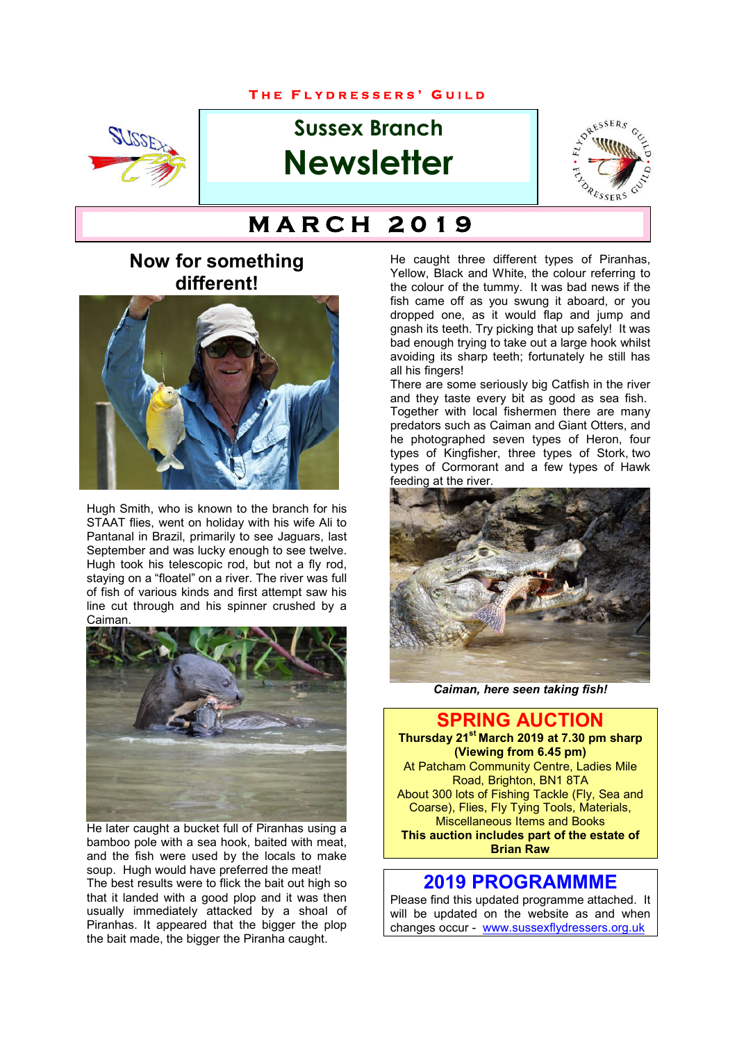#### **T H E F L Y D R E S S E R S ' G U I L D**



# **Sussex Branch Newsletter**



# $M$  A R C H 2 0 1 9

# **Now for something different!**



Hugh Smith, who is known to the branch for his STAAT flies, went on holiday with his wife Ali to Pantanal in Brazil, primarily to see Jaguars, last September and was lucky enough to see twelve. Hugh took his telescopic rod, but not a fly rod, staying on a "floatel" on a river. The river was full of fish of various kinds and first attempt saw his line cut through and his spinner crushed by a Caiman.



He later caught a bucket full of Piranhas using a bamboo pole with a sea hook, baited with meat, and the fish were used by the locals to make soup. Hugh would have preferred the meat! The best results were to flick the bait out high so that it landed with a good plop and it was then usually immediately attacked by a shoal of Piranhas. It appeared that the bigger the plop the bait made, the bigger the Piranha caught.

He caught three different types of Piranhas, Yellow, Black and White, the colour referring to the colour of the tummy. It was bad news if the fish came off as you swung it aboard, or you dropped one, as it would flap and jump and gnash its teeth. Try picking that up safely! It was bad enough trying to take out a large hook whilst avoiding its sharp teeth; fortunately he still has all his fingers!

There are some seriously big Catfish in the river and they taste every bit as good as sea fish. Together with local fishermen there are many predators such as Caiman and Giant Otters, and he photographed seven types of Heron, four types of Kingfisher, three types of Stork, two types of Cormorant and a few types of Hawk feeding at the river.



*Caiman, here seen taking fish!*

**SPRING AUCTION Thursday 21st March 2019 at 7.30 pm sharp (Viewing from 6.45 pm)** At Patcham Community Centre, Ladies Mile Road, Brighton, BN1 8TA About 300 lots of Fishing Tackle (Fly, Sea and Coarse), Flies, Fly Tying Tools, Materials, Miscellaneous Items and Books **This auction includes part of the estate of Brian Raw**

#### **2019 PROGRAMMME**

Please find this updated programme attached. It will be updated on the website as and when changes occur - www.sussexflydressers.org.uk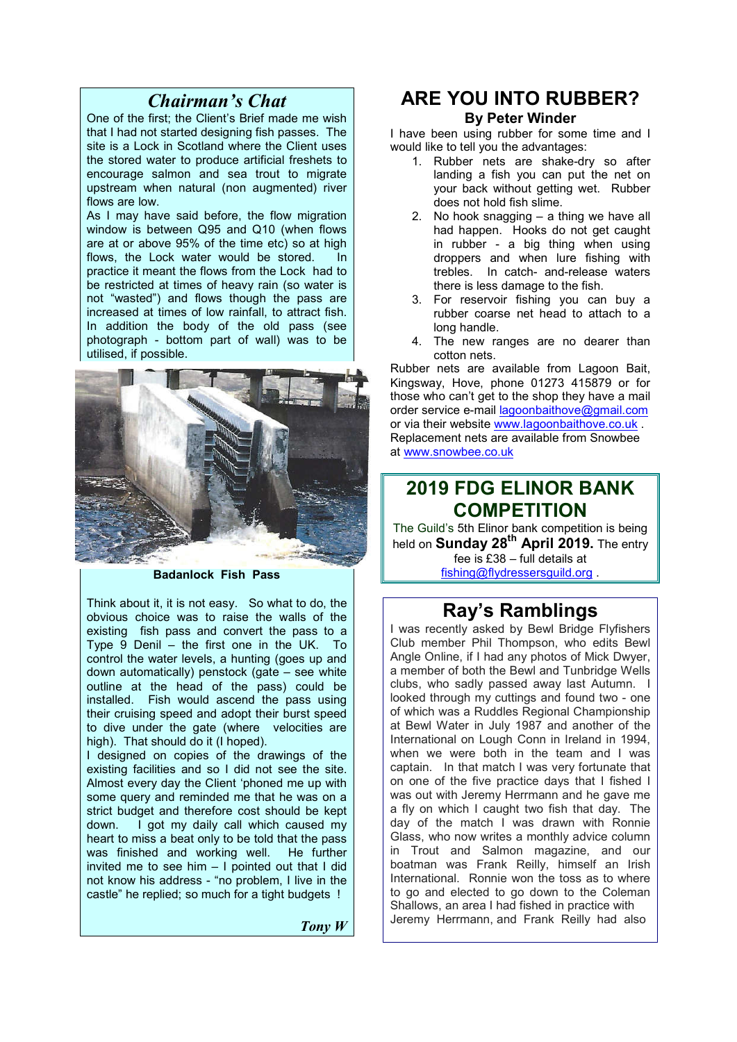### *Chairman's Chat*

One of the first; the Client's Brief made me wish that I had not started designing fish passes. The site is a Lock in Scotland where the Client uses the stored water to produce artificial freshets to encourage salmon and sea trout to migrate upstream when natural (non augmented) river flows are low.

As I may have said before, the flow migration window is between Q95 and Q10 (when flows are at or above 95% of the time etc) so at high flows, the Lock water would be stored. In practice it meant the flows from the Lock had to be restricted at times of heavy rain (so water is not "wasted") and flows though the pass are increased at times of low rainfall, to attract fish. In addition the body of the old pass (see photograph - bottom part of wall) was to be utilised, if possible.



**Badanlock Fish Pass**

Think about it, it is not easy. So what to do, the obvious choice was to raise the walls of the existing fish pass and convert the pass to a Type  $\frac{9}{9}$  Denil – the first one in the UK. To control the water levels, a hunting (goes up and down automatically) penstock (gate – see white outline at the head of the pass) could be installed. Fish would ascend the pass using their cruising speed and adopt their burst speed to dive under the gate (where velocities are high). That should do it (I hoped).

I designed on copies of the drawings of the existing facilities and so I did not see the site. Almost every day the Client 'phoned me up with some query and reminded me that he was on a strict budget and therefore cost should be kept down. I got my daily call which caused my heart to miss a beat only to be told that the pass was finished and working well. He further invited me to see him – I pointed out that I did not know his address - "no problem, I live in the castle" he replied; so much for a tight budgets !

*Tony W*

# **ARE YOU INTO RUBBER?**

#### **By Peter Winder**

I have been using rubber for some time and I would like to tell you the advantages:

- 1. Rubber nets are shake-dry so after landing a fish you can put the net on your back without getting wet. Rubber does not hold fish slime.
- 2. No hook snagging a thing we have all had happen. Hooks do not get caught in rubber - a big thing when using droppers and when lure fishing with trebles. In catch- and-release waters there is less damage to the fish.
- 3. For reservoir fishing you can buy a rubber coarse net head to attach to a long handle.
- 4. The new ranges are no dearer than cotton nets.

Rubber nets are available from Lagoon Bait, Kingsway, Hove, phone 01273 415879 or for those who can't get to the shop they have a mail order service e-mail lagoonbaithove@gmail.com or via their website www.lagoonbaithove.co.uk . Replacement nets are available from Snowbee at www.snowbee.co.uk

# **2019 FDG ELINOR BANK COMPETITION**

The Guild's 5th Elinor bank competition is being held on **Sunday 28th April 2019.** The entry fee is £38 – full details at fishing@flydressersguild.org .

## **Ray's Ramblings**

I was recently asked by Bewl Bridge Flyfishers Club member Phil Thompson, who edits Bewl Angle Online, if I had any photos of Mick Dwyer, a member of both the Bewl and Tunbridge Wells clubs, who sadly passed away last Autumn. I looked through my cuttings and found two - one of which was a Ruddles Regional Championship at Bewl Water in July 1987 and another of the International on Lough Conn in Ireland in 1994, when we were both in the team and I was captain. In that match I was very fortunate that on one of the five practice days that I fished I was out with Jeremy Herrmann and he gave me a fly on which I caught two fish that day. The day of the match I was drawn with Ronnie Glass, who now writes a monthly advice column in Trout and Salmon magazine, and our boatman was Frank Reilly, himself an Irish International. Ronnie won the toss as to where to go and elected to go down to the Coleman Shallows, an area I had fished in practice with Jeremy Herrmann, and Frank Reilly had also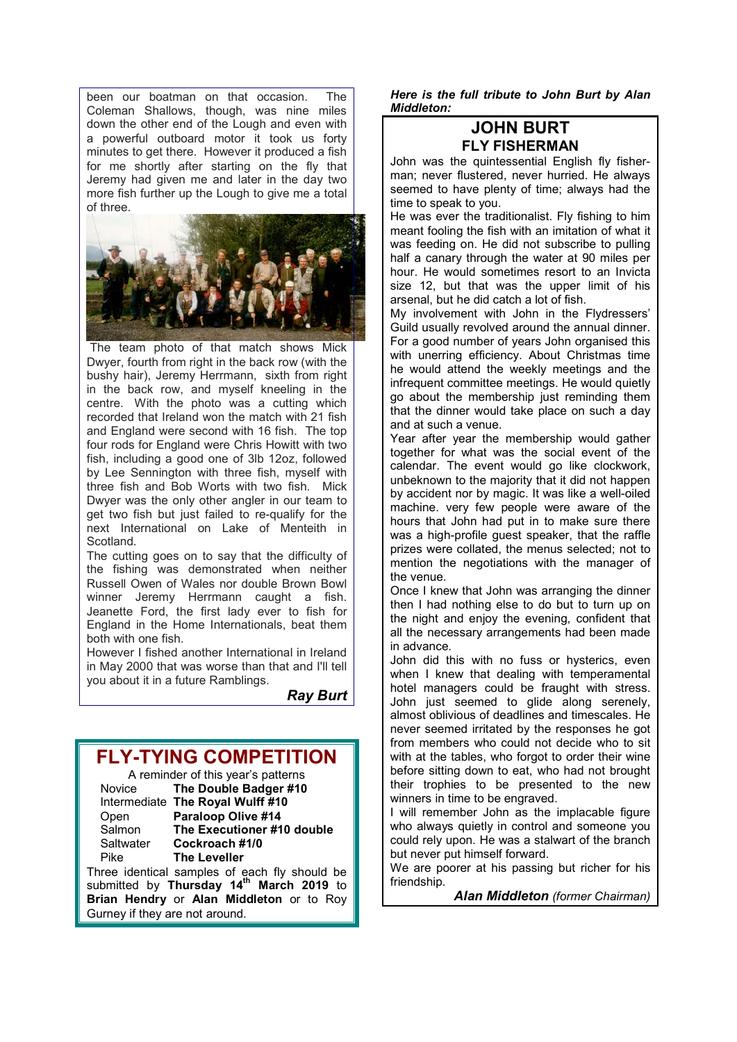been our boatman on that occasion. The Coleman Shallows, though, was nine miles down the other end of the Lough and even with a powerful outboard motor it took us forty minutes to get there. However it produced a fish for me shortly after starting on the fly that Jeremy had given me and later in the day two more fish further up the Lough to give me a total of three.



 The team photo of that match shows Mick Dwyer, fourth from right in the back row (with the bushy hair), Jeremy Herrmann, sixth from right in the back row, and myself kneeling in the centre. With the photo was a cutting which recorded that Ireland won the match with 21 fish and England were second with 16 fish. The top four rods for England were Chris Howitt with two fish, including a good one of 3lb 12oz, followed by Lee Sennington with three fish, myself with three fish and Bob Worts with two fish. Mick Dwyer was the only other angler in our team to get two fish but just failed to re-qualify for the next International on Lake of Menteith in Scotland.

The cutting goes on to say that the difficulty of the fishing was demonstrated when neither Russell Owen of Wales nor double Brown Bowl winner Jeremy Herrmann caught a fish. Jeanette Ford, the first lady ever to fish for England in the Home Internationals, beat them both with one fish.

However I fished another International in Ireland in May 2000 that was worse than that and I'll tell you about it in a future Ramblings.

*Ray Burt*

## **FLY-TYING COMPETITION**

|           | A reminder of this year's patterns            |  |  |
|-----------|-----------------------------------------------|--|--|
| Novice    | The Double Badger #10                         |  |  |
|           | Intermediate The Royal Wulff #10              |  |  |
| Open      | Paraloop Olive #14                            |  |  |
| Salmon    | The Executioner #10 double                    |  |  |
| Saltwater | Cockroach #1/0                                |  |  |
| Pike      | <b>The Leveller</b>                           |  |  |
|           | Three identical samples of each fly should be |  |  |

submitted by **Thursday 14th March 2019** to **Brian Hendry** or **Alan Middleton** or to Roy Gurney if they are not around.

*Here is the full tribute to John Burt by Alan Middleton:*

#### **JOHN BURT FLY FISHERMAN**

John was the quintessential English fly fisherman; never flustered, never hurried. He always seemed to have plenty of time; always had the time to speak to you.

He was ever the traditionalist. Fly fishing to him meant fooling the fish with an imitation of what it was feeding on. He did not subscribe to pulling half a canary through the water at 90 miles per hour. He would sometimes resort to an Invicta size 12, but that was the upper limit of his arsenal, but he did catch a lot of fish.

My involvement with John in the Flydressers' Guild usually revolved around the annual dinner. For a good number of years John organised this with unerring efficiency. About Christmas time he would attend the weekly meetings and the infrequent committee meetings. He would quietly go about the membership just reminding them that the dinner would take place on such a day and at such a venue.

Year after year the membership would gather together for what was the social event of the calendar. The event would go like clockwork, unbeknown to the majority that it did not happen by accident nor by magic. It was like a well-oiled machine. very few people were aware of the hours that John had put in to make sure there was a high-profile guest speaker, that the raffle prizes were collated, the menus selected; not to mention the negotiations with the manager of the venue.

Once I knew that John was arranging the dinner then I had nothing else to do but to turn up on the night and enjoy the evening, confident that all the necessary arrangements had been made in advance.

John did this with no fuss or hysterics, even when I knew that dealing with temperamental hotel managers could be fraught with stress. John just seemed to glide along serenely, almost oblivious of deadlines and timescales. He never seemed irritated by the responses he got from members who could not decide who to sit with at the tables, who forgot to order their wine before sitting down to eat, who had not brought their trophies to be presented to the new winners in time to be engraved.

I will remember John as the implacable figure who always quietly in control and someone you could rely upon. He was a stalwart of the branch but never put himself forward.

We are poorer at his passing but richer for his friendship.

*Alan Middleton (former Chairman)*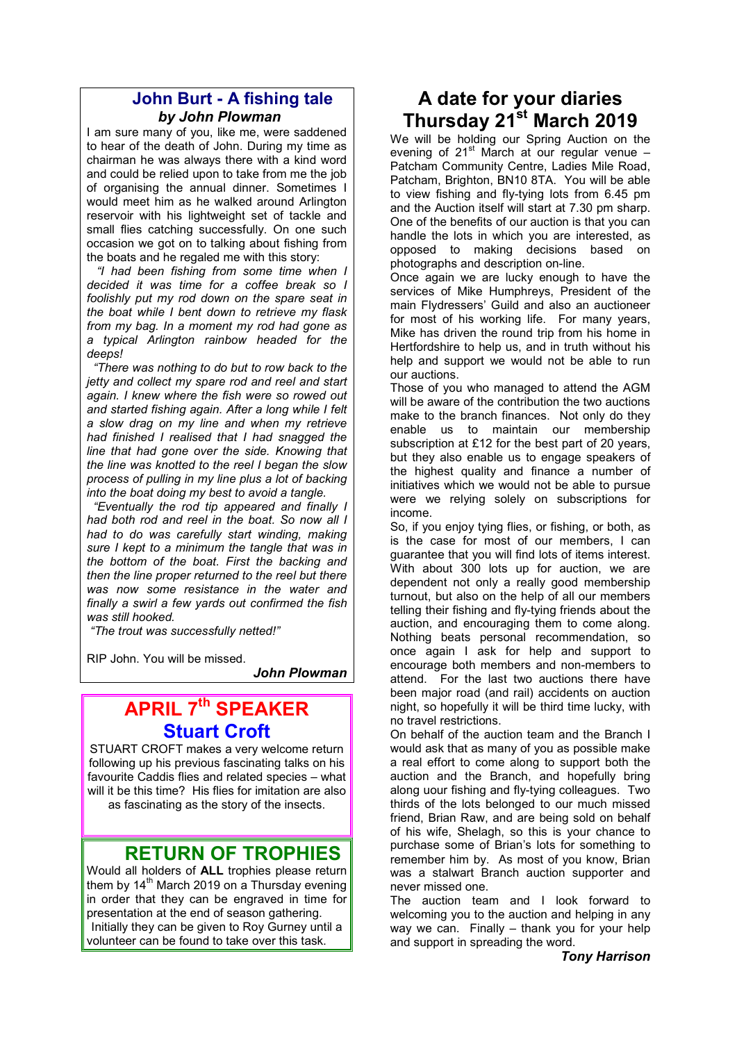#### **John Burt - A fishing tale** *by John Plowman*

I am sure many of you, like me, were saddened to hear of the death of John. During my time as chairman he was always there with a kind word and could be relied upon to take from me the job of organising the annual dinner. Sometimes I would meet him as he walked around Arlington reservoir with his lightweight set of tackle and small flies catching successfully. On one such occasion we got on to talking about fishing from the boats and he regaled me with this story:

 *"I had been fishing from some time when I decided it was time for a coffee break so I foolishly put my rod down on the spare seat in the boat while I bent down to retrieve my flask from my bag. In a moment my rod had gone as a typical Arlington rainbow headed for the deeps!*

 *"There was nothing to do but to row back to the jetty and collect my spare rod and reel and start again. I knew where the fish were so rowed out and started fishing again. After a long while I felt a slow drag on my line and when my retrieve had finished I realised that I had snagged the line that had gone over the side. Knowing that the line was knotted to the reel I began the slow process of pulling in my line plus a lot of backing into the boat doing my best to avoid a tangle.* 

 *"Eventually the rod tip appeared and finally I had both rod and reel in the boat. So now all I had to do was carefully start winding, making sure I kept to a minimum the tangle that was in the bottom of the boat. First the backing and then the line proper returned to the reel but there was now some resistance in the water and finally a swirl a few yards out confirmed the fish was still hooked.*

 *"The trout was successfully netted!"*

RIP John. You will be missed.

*John Plowman*

# **APRIL 7th SPEAKER Stuart Croft**

STUART CROFT makes a very welcome return following up his previous fascinating talks on his favourite Caddis flies and related species – what will it be this time? His flies for imitation are also as fascinating as the story of the insects.

### **RETURN OF TROPHIES**

Would all holders of **ALL** trophies please return them by  $14<sup>th</sup>$  March 2019 on a Thursday evening in order that they can be engraved in time for presentation at the end of season gathering. Initially they can be given to Roy Gurney until a volunteer can be found to take over this task. 

# **A date for your diaries Thursday 21<sup>st</sup> March 2019**

We will be holding our Spring Auction on the evening of  $21^{st}$  March at our regular venue – Patcham Community Centre, Ladies Mile Road, Patcham, Brighton, BN10 8TA. You will be able to view fishing and fly-tying lots from 6.45 pm and the Auction itself will start at 7.30 pm sharp. One of the benefits of our auction is that you can handle the lots in which you are interested, as opposed to making decisions based on photographs and description on-line.

Once again we are lucky enough to have the services of Mike Humphreys, President of the main Flydressers' Guild and also an auctioneer for most of his working life. For many years, Mike has driven the round trip from his home in Hertfordshire to help us, and in truth without his help and support we would not be able to run our auctions.

Those of you who managed to attend the AGM will be aware of the contribution the two auctions make to the branch finances. Not only do they enable us to maintain our membership subscription at £12 for the best part of 20 years, but they also enable us to engage speakers of the highest quality and finance a number of initiatives which we would not be able to pursue were we relying solely on subscriptions for income.

So, if you enjoy tying flies, or fishing, or both, as is the case for most of our members, I can guarantee that you will find lots of items interest. With about 300 lots up for auction, we are dependent not only a really good membership turnout, but also on the help of all our members telling their fishing and fly-tying friends about the auction, and encouraging them to come along. Nothing beats personal recommendation, so once again I ask for help and support to encourage both members and non-members to attend. For the last two auctions there have been major road (and rail) accidents on auction night, so hopefully it will be third time lucky, with no travel restrictions.

On behalf of the auction team and the Branch I would ask that as many of you as possible make a real effort to come along to support both the auction and the Branch, and hopefully bring along uour fishing and fly-tying colleagues. Two thirds of the lots belonged to our much missed friend, Brian Raw, and are being sold on behalf of his wife, Shelagh, so this is your chance to purchase some of Brian's lots for something to remember him by. As most of you know, Brian was a stalwart Branch auction supporter and never missed one.

The auction team and I look forward to welcoming you to the auction and helping in any way we can. Finally – thank you for your help and support in spreading the word.

*Tony Harrison*